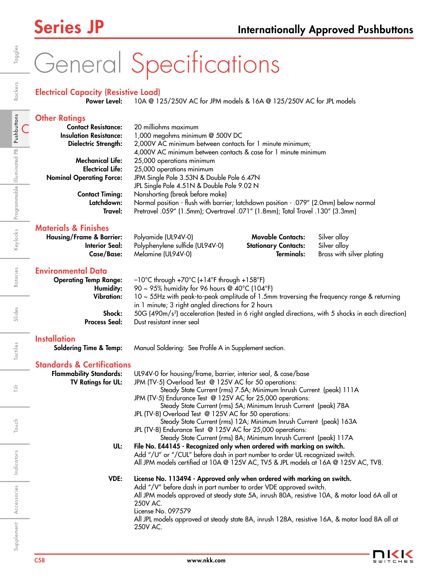# General Specifications

## Electrical Capacity (Resistive Load)

Power Level: 10A @ 125/250V AC for JPM models & 16A @ 125/250V AC for JPL models

| <b>Other Ratings</b>            |                                                                                       |
|---------------------------------|---------------------------------------------------------------------------------------|
| <b>Contact Resistance:</b>      | 20 milliohms maximum                                                                  |
| <b>Insulation Resistance:</b>   | 1,000 megohms minimum @ 500V DC                                                       |
| Dielectric Strength:            | 2,000V AC minimum between contacts for 1 minute minimum;                              |
|                                 | 4,000V AC minimum between contacts & case for 1 minute minimum                        |
| Mechanical Life:                | 25,000 operations minimum                                                             |
| <b>Electrical Life:</b>         | 25,000 operations minimum                                                             |
| <b>Nominal Operating Force:</b> | JPM Single Pole 3.53N & Double Pole 6.47N                                             |
|                                 | JPL Single Pole 4.51N & Double Pole 9.02 N                                            |
| <b>Contact Timing:</b>          | Nonshorting (break before make)                                                       |
| Latchdown:                      | Normal position - flush with barrier; latchdown position - .079" (2.0mm) below normal |
| Travel:                         | Pretravel .059" (1.5mm); Overtravel .071" (1.8mm); Total Travel .130" (3.3mm)         |
|                                 |                                                                                       |

## Materials & Finishes

| <b>Housing/Frame &amp; Barrier:</b> Polyamide (UL94V-0) |                                                       | <b>Movable Contacts:</b> Silver alloy    |                                             |
|---------------------------------------------------------|-------------------------------------------------------|------------------------------------------|---------------------------------------------|
|                                                         | <b>Interior Seal:</b> Polyphenylene sulfide (UL94V-0) | <b>Stationary Contacts:</b> Silver alloy |                                             |
| Case/Base:                                              | Melamine (UL94V-0)                                    |                                          | <b>Terminals:</b> Brass with silver plating |

### Environmental Data

| $-10^{\circ}$ C through +70 $^{\circ}$ C (+14 $^{\circ}$ F through +158 $^{\circ}$ F)                          |
|----------------------------------------------------------------------------------------------------------------|
| 90 ~ 95% humidity for 96 hours @ $40^{\circ}$ C (104 $^{\circ}$ F)                                             |
| $10 \sim 55$ Hz with peak-to-peak amplitude of 1.5mm traversing the frequency range & returning                |
| in 1 minute; 3 right angled directions for 2 hours                                                             |
| 50G (490m/s <sup>2</sup> ) acceleration (tested in 6 right angled directions, with 5 shocks in each direction) |
| Dust resistant inner seal                                                                                      |
|                                                                                                                |

## **Installation**

Soldering Time & Temp: Manual Soldering: See Profile A in Supplement section.

### Standards & Certifications

| <b>Flammability Standards:</b> | UL94V-0 for housing/frame, barrier, interior seal, & case/base                                 |
|--------------------------------|------------------------------------------------------------------------------------------------|
| TV Ratings for UL:             | JPM (TV-5) Overload Test @ 125V AC for 50 operations:                                          |
|                                | Steady State Current (rms) 7.5A; Minimum Inrush Current (peak) 111A                            |
|                                | JPM (TV-5) Endurance Test @ 125V AC for 25,000 operations:                                     |
|                                | Steady State Current (rms) 5A; Minimum Inrush Current (peak) 78A                               |
|                                | JPL (TV-8) Overload Test @ 125V AC for 50 operations:                                          |
|                                | Steady State Current (rms) 12A; Minimum Inrush Current (peak) 163A                             |
|                                | JPL (TV-8) Endurance Test @ 125V AC for 25,000 operations:                                     |
|                                | Steady State Current (rms) 8A; Minimum Inrush Current (peak) 117A                              |
| UL:                            | File No. E44145 - Recognized only when ordered with marking on switch.                         |
|                                | Add "/U" or "/CUL" before dash in part number to order UL recognized switch.                   |
|                                | All JPM models certified at 10A @ 125V AC, TV5 & JPL models at 16A @ 125V AC, TV8.             |
| VDE:                           | License No. 113494 - Approved only when ordered with marking on switch.                        |
|                                | Add "/V" before dash in part number to order VDE approved switch.                              |
|                                | All JPM models approved at steady state 5A, inrush 80A, resistive 10A, & motor load 6A all at  |
|                                | 250V AC.                                                                                       |
|                                | License No. 097579                                                                             |
|                                | All JPL models approved at steady state 8A, inrush 128A, resistive 16A, & motor load 8A all at |
|                                | 250V AC.                                                                                       |
|                                |                                                                                                |



Indicators

Supplement Accessories | Indicators | Touch | Tilt | Tactiles | Slides | Rotaries | Keylocks

Touch

 $\frac{1}{\left\vert \frac{1}{n}\right\vert }$ 

Pushbuttons

Rockers

Toggles

Illuminated PB

Keylocks Programmable Illuminated PB Pushbuttons

Slides Rotaries Keylocks Programmable Illuminated PB Pushbuttons Rockers

Touch | Tilt | Tactiles | Slides | Rotaries | Keylocks |Programmable ||lluminated PB | Pu**shbuttons** | Rockers | Toggles

Rotaries

Slides

Tactiles

Accessories

Supplement Accessories Indicators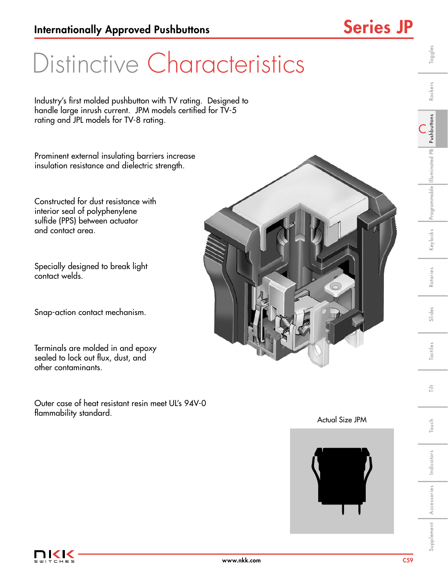# Distinctive Characteristics

Industry's first molded pushbutton with TV rating. Designed to handle large inrush current. JPM models certified for TV-5 rating and JPL models for TV-8 rating.

Prominent external insulating barriers increase insulation resistance and dielectric strength.

Constructed for dust resistance with interior seal of polyphenylene sulfide (PPS) between actuator and contact area.

Specially designed to break light contact welds.

Snap-action contact mechanism.

Terminals are molded in and epoxy sealed to lock out flux, dust, and other contaminants.

Outer case of heat resistant resin meet UL's 94V-0 flammability standard.<br>Actual Size JPM





Toggles Slides | Rotaries | Keylocks |Programmable |Illuminated PB | **Pushbuttons** | Rockers | Toggles Rockers Pushbuttons

Keylocks Programmable Illuminated PB Pushbuttons Illuminated PB

C

Tactiles

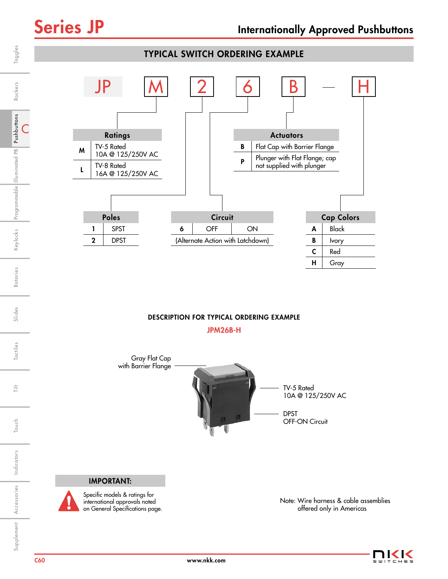

## DESCRIPTION FOR TYPICAL ORDERING EXAMPLE

JPM26B-H



offered only in Americas

on General Specifications page.

Indicators

Indicators

Supplement Accessories | Indicators | Touch | Tilt | Tactiles | Slides | Rotaries | Keylocks

ŧ

Touch

Accessories

Supplement Accessories

Illuminated PB

Rotaries

Slides

Tactiles

C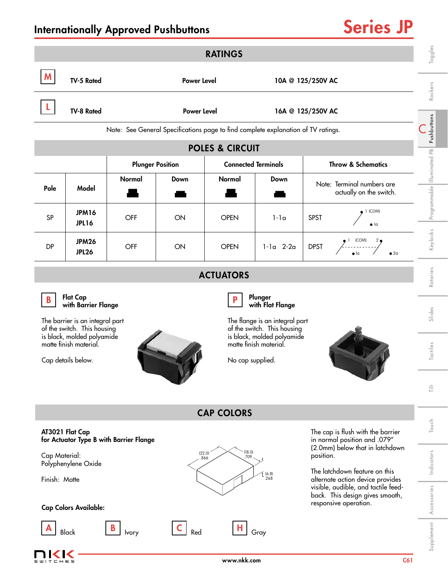| <b>RATINGS</b>                                                                                                                                                                                                |                              |                                                                                   |                    |                                                                          |                            |                                                                                                      |                             |  |
|---------------------------------------------------------------------------------------------------------------------------------------------------------------------------------------------------------------|------------------------------|-----------------------------------------------------------------------------------|--------------------|--------------------------------------------------------------------------|----------------------------|------------------------------------------------------------------------------------------------------|-----------------------------|--|
|                                                                                                                                                                                                               | <b>TV-5 Rated</b>            | <b>Power Level</b>                                                                |                    |                                                                          |                            | 10A @ 125/250V AC                                                                                    | Toggles<br>Rockers          |  |
|                                                                                                                                                                                                               | TV-8 Rated                   |                                                                                   | <b>Power Level</b> |                                                                          |                            | 16A @ 125/250V AC                                                                                    |                             |  |
|                                                                                                                                                                                                               |                              | Note: See General Specifications page to find complete explanation of TV ratings. |                    |                                                                          |                            |                                                                                                      | Pushbuttons                 |  |
|                                                                                                                                                                                                               |                              |                                                                                   |                    | <b>POLES &amp; CIRCUIT</b>                                               |                            |                                                                                                      |                             |  |
|                                                                                                                                                                                                               | <b>Plunger Position</b>      |                                                                                   |                    |                                                                          | <b>Connected Terminals</b> | <b>Throw &amp; Schematics</b>                                                                        |                             |  |
| Pole                                                                                                                                                                                                          | Model                        | Normal                                                                            | Down               | Normal                                                                   | Down                       | Note: Terminal numbers are<br>actually on the switch.                                                | Programmable Illuminated PB |  |
| SP                                                                                                                                                                                                            | <b>JPM16</b><br><b>JPL16</b> | OFF                                                                               | ON                 | <b>OPEN</b>                                                              | $1-1a$                     | 1 (COM)<br><b>SPST</b><br>$\bullet$ 1a                                                               |                             |  |
| <b>DP</b>                                                                                                                                                                                                     | <b>JPM26</b><br><b>JPL26</b> | OFF                                                                               | ON                 | <b>OPEN</b>                                                              | $1-1a$ $2-2a$              | $\bullet$ 1 (COM)<br><b>DPST</b><br>•2a                                                              | Keylocks                    |  |
| <b>ACTUATORS</b>                                                                                                                                                                                              |                              |                                                                                   |                    |                                                                          |                            |                                                                                                      |                             |  |
| <b>Flat Cap</b><br>Plunger<br>B<br>with Flat Flange<br>with Barrier Flange<br>The barrier is an integral part<br>The flange is an integral part<br>of the switch. This housing<br>of the switch. This housing |                              |                                                                                   |                    |                                                                          |                            |                                                                                                      | Rotaries<br>Slides          |  |
| is black, molded polyamide<br>matte finish material.<br>Cap details below.                                                                                                                                    |                              |                                                                                   |                    | is black, molded polyamide<br>matte finish material.<br>No cap supplied. |                            |                                                                                                      | Tactiles                    |  |
|                                                                                                                                                                                                               |                              |                                                                                   |                    |                                                                          |                            |                                                                                                      |                             |  |
|                                                                                                                                                                                                               |                              |                                                                                   |                    | <b>CAP COLORS</b>                                                        |                            |                                                                                                      |                             |  |
|                                                                                                                                                                                                               | AT3021 Flat Cap              | for Actuator Type B with Barrier Flange                                           |                    |                                                                          |                            | The cap is flush with the barrier<br>in normal position and .079"<br>(2.0mm) below that in latchdown | Touch                       |  |
| Cap Material:<br>Polyphenylene Oxide                                                                                                                                                                          |                              |                                                                                   |                    | (18.0)<br>(22.0)<br>.709<br>.866<br>$(6.8)$<br>.268                      |                            | position.<br>The latchdown feature on this                                                           | Indicators                  |  |
| Finish: Matte<br>alternate action device provides<br>visible, audible, and tactile feed-<br>back. This design gives smooth,<br>responsive operation.<br><b>Cap Colors Available:</b>                          |                              |                                                                                   |                    |                                                                          |                            |                                                                                                      |                             |  |
|                                                                                                                                                                                                               | <b>Black</b>                 | lvory                                                                             | Red                | н                                                                        | Gray                       |                                                                                                      | Accessories<br>Supplement   |  |